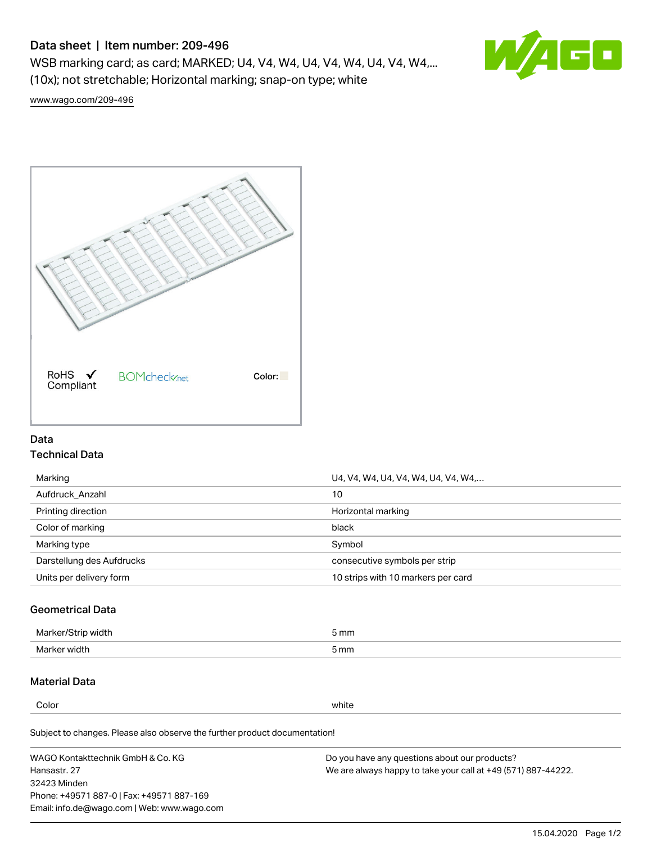# Data sheet | Item number: 209-496

WSB marking card; as card; MARKED; U4, V4, W4, U4, V4, W4, U4, V4, W4,... (10x); not stretchable; Horizontal marking; snap-on type; white



[www.wago.com/209-496](http://www.wago.com/209-496)



## Data Technical Data

| Marking                   | U4, V4, W4, U4, V4, W4, U4, V4, W4, |
|---------------------------|-------------------------------------|
| Aufdruck Anzahl           | 10                                  |
| Printing direction        | Horizontal marking                  |
| Color of marking          | black                               |
| Marking type              | Symbol                              |
| Darstellung des Aufdrucks | consecutive symbols per strip       |
| Units per delivery form   | 10 strips with 10 markers per card  |

## Geometrical Data

| طلقاء ئ<br><b>Marker</b><br>widtr | ັກmm |
|-----------------------------------|------|
| Marker width                      | 5 mm |

# Material Data

Color white

Subject to changes. Please also observe the further product documentation!

WAGO Kontakttechnik GmbH & Co. KG Hansastr. 27 32423 Minden Phone: +49571 887-0 | Fax: +49571 887-169 Email: info.de@wago.com | Web: www.wago.com Do you have any questions about our products? We are always happy to take your call at +49 (571) 887-44222.